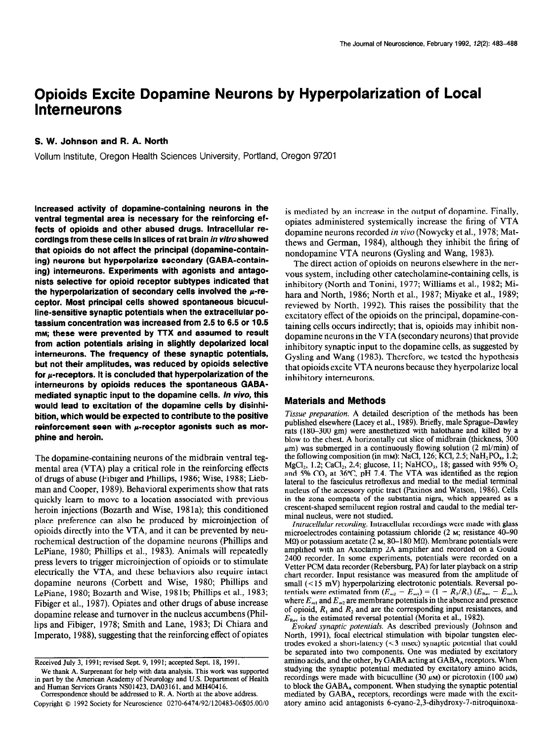# Opioids Excite Dopamine Neurons by Hyperpolarization of Local Interneurons

## S. W. Johnson and R. A. North

Vellum Institute, Oregon Health Sciences University, Portland, Oregon 97201

Increased activity of dopamine-containing neurons in the ventral tegmental area is necessary for the reinforcing effects of opioids and other abused drugs. Intracellular recordings from these cells in slices of rat brain in vitro showed that opioids do not affect the principal (dopamine-containing) neurons but hyperpolarize secondary (GABA-containing) interneurons. Experiments with agonists and antagonists selective for opioid receptor subtypes indicated that the hyperpolarization of secondary cells involved the  $\mu$ -receptor. Most principal cells showed spontaneous bicuculline-sensitive synaptic potentials when the extracellular potassium concentration was increased from 2.5 to 6.5 or 10.5 mM; these were prevented by TTX and assumed to result from action potentials arising in slightly depolarized local interneurons. The frequency of these synaptic potentials, but not their amplitudes, was reduced by opioids selective for  $\mu$ -receptors. It is concluded that hyperpolarization of the interneurons by opioids reduces the spontaneous GABAmediated synaptic input to the dopamine cells. In vivo, this would lead to excitation of the dopamine cells by disinhibition, which would be expected to contribute to the positive reinforcement seen with  $\mu$ -receptor agonists such as morphine and heroin.

The dopamine-containing neurons of the midbrain ventral tegmental area (VTA) play a critical role in the reinforcing effects of drugs of abuse (Fibiger and Phillips, 1986; Wise, 1988; Liebman and Cooper, 1989). Behavioral experiments show that rats quickly learn to move to a location associated with previous heroin injections (Bozarth and Wise, 1981a); this conditioned place preference can also be produced by microinjection of place preference can also be produced by interestigation of rochemical destruction of the dopamine neurons (Phillips and rochemical destruction of the dopamine neurons (Phillips and LePiane, 1980; Phillips et al., 1983). Animals will repeatedly  $p_{\text{ref}}$  and  $p_{\text{ref}}$  is the trigger microinjection of opioids or to stimulate press levers to trigger interompetion or opions or to summate electrically the v TA, and these behaviors also require match dopamine neurons (Coroett and Wise, 1980, Things and  $L_{\text{F}}$ LePiane, 1980; Bozarth and Wise, 1981b; Phillips et al., 1983; Fibiger et al., 1987). Opiates and other drugs of abuse increase dopamine release and turnover in the nucleus accumbens (Phillips and Fibiger, 1978; Smith and Lane, 1983; Di Chiara and Imperato, 1988), suggesting that the reinforcing effect of opiates

We thank A. Surprenant for help with data analysis. This work was supported in part by the American Academy of Neurology and U.S. Department of Health and Human Services Grants NS01423, DA03161, and MH40416.

is mediated by an increase in the output of dopamine. Finally, opiates administered systemically increase the firing of VTA dopamine neurons recorded in vivo (Nowycky et al., 1978; Matthews and German, 1984), although they inhibit the firing of nondopamine VTA neurons (Gysling and Wang, 1983).

The direct action of opioids on neurons elsewhere in the nervous system, including other catecholamine-containing cells, is inhibitory (North and Tonini, 1977; Williams et al., 1982; Mihara and North, 1986; North et al., 1987; Miyake et al., 1989; reviewed by North, 1992). This raises the possibility that the excitatory effect of the opioids on the principal, dopamine-containing cells occurs indirectly; that is, opioids may inhibit nondopamine neurons in the VTA (secondary neurons) that provide inhibitory synaptic input to the dopamine cells, as suggested by Gysling and Wang (1983). Therefore, we tested the hypothesis that opioids excite VTA neurons because they hyerpolarize local inhibitory interneurons.

## Materials and Methods

Tissue preparation. A detailed description of the methods has been published elsewhere (Lacey et al., 1989). Briefly, male Sprague-Dawley rats (180-300 gm) were anesthetized with halothane and killed by a blow to the chest. A horizontally cut slice of midbrain (thickness, 300  $\mu$ m) was submerged in a continuously flowing solution (2 ml/min) of  $\mu$ m) was submerged in a commutation moving solution (2.112.1111) or  $M_{\rm g}$ Cl,, 1.2; CaCl,, 2.4; glucose, 11; NaHCO,, 18; gosed with 95% O,  $MgCl_2$ , 1.2; CaCl<sub>2</sub>, 2.4; glucose, 11; NaHCO<sub>3</sub>, 18; gassed with 95% O<sub>2</sub> and 5%  $CO<sub>2</sub>$  at 36°C, pH 7.4. The VTA was identified as the region lateral to the fasciculus retroflexus and medial to the medial terminal nucleus to the association references and median to the median terminal in the  $\alpha$  compact of the substantial number of the substantial number of  $\alpha$  and  $\alpha$  and  $\alpha$  and  $\alpha$  and  $\alpha$  and  $\alpha$  and  $\alpha$  and  $\alpha$  and  $\alpha$  and  $\alpha$  and  $\alpha$  and  $\alpha$  and  $\alpha$  and  $\alpha$  and  $\alpha$  and  $\alpha$  and  $\$ in the zona compacta of the substantia nigra, which appeared as a crescent-shaped semilucent region rostral and caudal to the medial terminal nucleus, were not studied.

Intracellular recording. Intracellular recordings were made with glass microelectrone containing potassium chloride (2 M; resistance 40-90  $M_{\odot}$  m, resistuate (2 M, 80-180 Ms). Membrane potentials were  $\alpha$  and  $\alpha$  and  $\alpha$  and  $\alpha$  and  $\alpha$  and  $\alpha$  and recorded on a Gould amplified with an Axociality  $2A$  amplifier and recorded on a Gould  $Z$ FOV TOOTUCT. In SOIR CAPCINICIES, PORTUGES WELL TOOTUCE ON a  $\alpha$  veller recorder incurred from the amplitude from the amplitude  $\alpha$  measured from the amplitude of  $\alpha$  $\frac{1}{2}$  and  $\frac{1}{2}$  multiple is the small position of the amplitude of small  $($ <15 m $\alpha$ ) hyperpolarizing electrotome potentials. Reversal potentials were estimated from  $(E_{m2} - E_{m1}) = (1 - R_2/R_1) (E_{\text{Rev}} - E_{m1}),$ where  $E_{m1}$  and  $E_{m2}$  are membrane potentials in the absence and presence of opioid,  $R_1$  and  $R_2$  and are the corresponding input resistances, and Of option,  $R_1$  and  $R_2$  and are the corresponding input resistance  $\sum_{k \in \mathcal{N}}$  is the estimated reversal potential (Morita et al., 1962).

Evoked synaptic potentials. As described previously (Johnson and North, 1991), focal electrical stimulation with bipolar tungsten electrodes evoked a short-latency  $(<$  3 msec) synaptic potential that could be separated into two components. One was mediated by excitatory amino acids, and the other, by GABA acting at  $GABA_A$  receptors. When studying the synaptic potential mediated by excitatory amino acids, recordings were made with bicuculline (30  $\mu$ M) or picrotoxin (100  $\mu$ M) to block the  $GABA_A$  component. When studying the synaptic potential mediated by GABA<sub>A</sub> receptors, recordings were made with the excitatory amino acid antagonists 6-cyano-2,3-dihydroxy-7-nitroquinoxa-

Received July 3, 1991; revised Sept. 9, 1991; accepted Sept. 18, 1991.  $\chi$  a. Surprenant A. Surprenance with data and  $\chi$  is  $\chi$  and  $\chi$  and  $\chi$  and  $\chi$  and  $\chi$  and  $\chi$  and  $\chi$  and  $\chi$  and  $\chi$  and  $\chi$  and  $\chi$  and  $\chi$  and  $\chi$  and  $\chi$  and  $\chi$  and  $\chi$  and  $\chi$  and  $\chi$  and  $\chi$ 

Correspondence should be addressed to R. A. North at the above address.<br>Copyright © 1992 Society for Neuroscience 0270-6474/92/120483-06\$05.00/0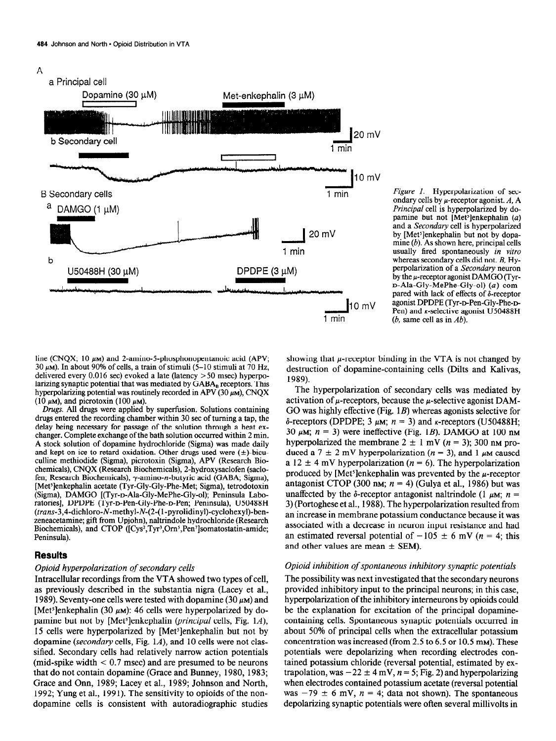### A



Figure 1. Hyperpolarization of secondary cells by  $\mu$ -receptor agonist. A, A Principal cell is hyperpolarized by dopamine but not  $[Met<sup>5</sup>]$ enkephalin (a) and a Secondary cell is hyperpolarized by [Met<sup>5</sup>]enkephalin but not by dopamine (b). As shown here, principal cells usually fired spontaneously in vitro whereas secondary cells did not. B. Hyperpolarization of a Secondary neuron by the  $\mu$ -receptor agonist DAMGO (Tyro-Ala-Gly-MePhe-Gly-01) (a) compared with lack of effects of  $\delta$ -receptor agonist DPDPE (Tyr-D-Pen-Gly-Phe-u-Pen) and  $\kappa$ -selective agonist U50488H  $(b, \text{ same cell as in } Ab).$ 

line (CNQX; 10  $\mu$ M) and 2-amino-5-phosphonopentanoic acid (APV; 30  $\mu$ M). In about 90% of cells, a train of stimuli (5-10 stimuli at 70 Hz, delivered every  $0.016$  sec) evoked a late (latency  $> 50$  msec) hyperpolarizing synaptic potential that was mediated by  $GABA<sub>b</sub>$  receptors. This hyperpolarizing potential was routinely recorded in APV (30  $\mu$ M), CNQX (10  $\mu$ M), and picrotoxin (100  $\mu$ M).

Drugs. All drugs were applied by superfusion. Solutions containing drugs entered the recording chamber within 30 set of turning a tap, the delay before a second for passage of the solution through a heat exdelay being necessary for passage of the solution through a heat ex-<br>changer. Complete exchange of the bath solution occurred within 2 min. A stock solution of dopamine hydrochloride (Sigma) was made daily and kept on ice to retard oxidation. Other drugs used were  $(\pm)$ -bicuand kept on fee to retard bardarion. Other drugs used were  $(\pm f)$  order cumic inconounce (signia), preformit (signia),  $\Delta V$  (research Bio $f_{\text{rel}}(G)$  research Biochemicals),  $2$ -hydroxysaciolefi (sacio- $\begin{bmatrix} \text{Ric} \\ \text{Ric} \end{bmatrix}$ ,  $\begin{bmatrix} \text{Dic} \\ \text{Eic} \end{bmatrix}$ ,  $\begin{bmatrix} \text{Dic} \\ \text{Eic} \end{bmatrix}$ ,  $\begin{bmatrix} \text{Eic} \\ \text{Eic} \end{bmatrix}$ ,  $\begin{bmatrix} \text{Eic} \\ \text{Eic} \end{bmatrix}$ ,  $\begin{bmatrix} \text{Eic} \\ \text{Eic} \end{bmatrix}$  $(0, \ldots, D_{AA} \cap \mathbb{C})$  [The Fig. 41,  $\mathbb{C}$ ],  $\mathbb{C}$ <sup>1</sup>; Peninsula Labor-Cly-Digital Labor-Cly-Digital Labor-Cly-Digital Labor-Cly-Digital Labor-Cly-Digital Labor-Cly-Digital Labor-Cly-Digital Labor-Cly-Digital Labor-C  $r_{\text{Sigma}}$ , DAMOO  $r_{\text{Sigma}}$   $r_{\text{Sigma}}$  Phe-De-Oly-Merite-Oly-01), Pennisula Labo ratories], DPDPE (Tyr-D-Pen-Gly-Phe-D-Pen; Peninsula), U50488H  $(trans-3, 4-dichloro-N-methyl-N-(2-(1-pyrolidinyl)-cyclohexyl)-ben$ zeneacetamine; gift from Upjohn), naltrindole hydrochloride (Research Biochemicals), and CTOP ([Cys<sup>2</sup>,Tyr<sup>3</sup>,Orn<sup>5</sup>,Pen<sup>7</sup>]somatostatin-amide;<br>Peninsula).

## **Results**

#### Opioid hyperpolarization of secondary cells  $\sigma$  *Uptour requirement of secondary cells* showed the VTA showed two types of cell,  $\sigma$

Intracentuar recordings from the  $v_1$  A showed two types of cent, as previously described in the substantia nigra (Lacey et al., 1989). Seventy-one cells were tested with dopamine (30  $\mu$ M) and [Met<sup>5</sup>]enkephalin (30  $\mu$ M): 46 cells were hyperpolarized by dopamine but not by [Met<sup>s</sup>]enkephalin (*principal* cells, Fig. 1A), 15 cells were hyperpolarized by [Met<sup>5</sup>]enkephalin but not by dopamine (secondary cells, Fig.  $1A$ ), and 10 cells were not classified. Secondary cells had relatively narrow action potentials (mid-spike width  $< 0.7$  msec) and are presumed to be neurons that do not contain dopamine (Grace and Bunney, 1980, 1983; Grace and Onn, 1989; Lacey et al., 1989; Johnson and North, 1992; Yung et al., 1991). The sensitivity to opioids of the non-dopamine cells is consistent with autoradiographic studies

showing that  $\mu$ -receptor binding in the VTA is not changed by destruction of dopamine-containing cells (Dilts and Kalivas, 1989).

The hyperpolarization of secondary cells was mediated by activation of  $\mu$ -receptors, because the  $\mu$ -selective agonist DAM-GO was highly effective (Fig. 1B) whereas agonists selective for  $\delta$ -receptors (DPDPE; 3  $\mu$ M;  $n = 3$ ) and  $\kappa$ -receptors (U50488H;  $\frac{30}{100}$  PM; n = 3) were ineffective (Fig. 1B). DAMGO at 100 nm;  $\sigma$   $\mu$ <sub>M</sub>,  $n - 3$  were inelective (Fig. 1*D*). DAMCO at 100 lm hyperpolarized the membrane  $2 \pm 1$  mV ( $n = 3$ ); 300 nm produced a  $7 \pm 2$  mV hyperpolarization ( $n = 3$ ), and 1  $\mu$ m caused a 12  $\pm$  4 mV hyperpolarization (n = 6). The hyperpolarization  $p_1 \geq p_2 \geq p_3$  is a produced by  $p_1 \geq p_4$ . The property distribution produced by [MEC JERKEPHAIIII was prevented by the  $\mu$ -receptor antagonist CTOP (300 nm;  $n = 4$ ) (Gulya et al., 1986) but was unaffected by the  $\delta$ -receptor antagonist naltrindole (1 µm;  $n =$ unanected by the o-receptor antagonist hattring is  $n = 3$ .  $\mathcal{D}$  (Fortogriese et al., 1988). The hyperpotarization resulted from an increase in membrane potassium conductance because it was associated with a decrease in neuron input resistance and had an estimated reversal potential of  $-105 \pm 6$  mV ( $n = 4$ ; this and other values are mean  $\pm$  SEM).

## $\sigma$  inhibition of spontaneous inhibition of spontaneous inhibitory synaptic potentials  $\sigma$  $\sigma$ pola maonon of sponancols maonory synaphic polemiais

The possibility was next investigated that the secondary neurons provided inhibitory input to the principal neurons; in this case, hyperpolarization of the inhibitory interneurons by opioids could be the explanation for excitation of the principal dopaminecontaining cells. Spontaneous synaptic potentials occurred in about 50% of principal cells when the extracellular potassium concentration was increased (from 2.5 to 6.5 or 10.5 mm). These potentials were depolarizing when recording electrodes contained potassium chloride (reversal potential, estimated by extrapolation, was  $-22 \pm 4$  mV,  $n = 5$ ; Fig. 2) and hyperpolarizing when electrodes contained potassium acetate (reversal potential was  $-79 \pm 6$  mV,  $n = 4$ ; data not shown). The spontaneous depolarizing synaptic potentials were often several millivolts in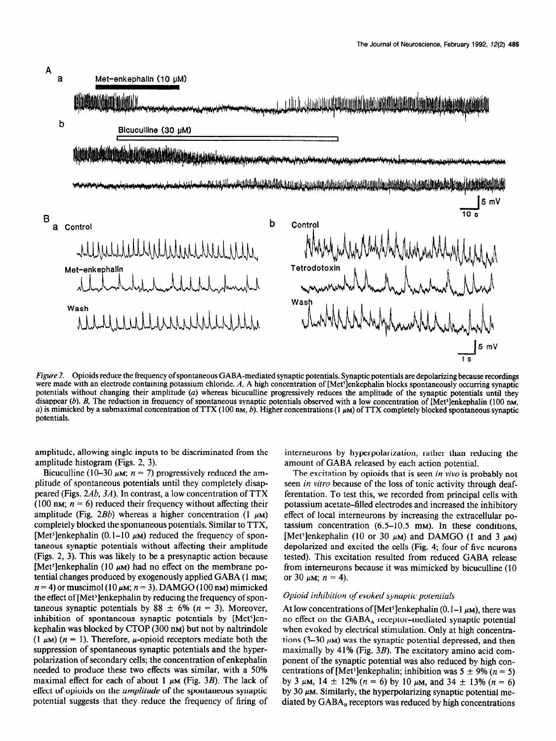

Figure 2. Opioids reduce the frequency of spontaneous GABA-mediated synaptic potentials. Synaptic potentials are depolarizing because recordings were made with an electrode containing potassium chloride. A, A high concentration of [Met<sup>5</sup>]enkephalin blocks spontaneously occurring synaptic potentials without changing their amplitude (a) whereas bicuculline progressively reduces the amplitude of the synaptic potentials until they disappear (b). B, The reduction in frequency of spontaneous synaptic potentials observed with a low concentration of [Met<sup>5</sup>]enkephalin (100 nm, a) is mimicked by a submaximal concentration of TTX (100 nm, b). Higher concentrations (1  $\mu$ m) of TTX completely blocked spontaneous synaptic potentials.

amplitude, allowing single inputs to be discriminated from the intemeurons by hyperpolarization, rather than reducing the amplitude histogram (Figs. 2, 3). <br>amount of GABA released by each action potential.

Bicuculline (10-30  $\mu$ M; n = 7) progressively reduced the amplitude of spontaneous potentials until they completely disappeared (Figs. 2Ab, 3A). In contrast, a low concentration of TTX (100 nm;  $n = 6$ ) reduced their frequency without affecting their amplitude (Fig. 2Bb) whereas a higher concentration (1  $\mu$ M) completely blocked the spontaneous potentials. Similar to TTX, [Met<sup>5</sup>]enkephalin (0.1-10  $\mu$ M) reduced the frequency of spontaneous synaptic potentials without affecting their amplitude (Figs. 2, 3). This was likely to be a presynaptic action because [Met<sup>5</sup>]enkephalin (10  $\mu$ M) had no effect on the membrane potential changes produced by exogenously applied GABA (1 mM;  $n = 4$ ) or muscimol (10  $\mu$ M;  $n = 3$ ). DAMGO (100 nM) mimicked the effect of [Met<sup>5</sup>]enkephalin by reducing the frequency of spontaneous synaptic potentials by 88  $\pm$  6% (n = 3). Moreover, inhibition of spontaneous synaptic potentials by [Met<sup>5</sup>]en $k_{\text{sub}}$  and  $k_{\text{sub}}$  of  $k_{\text{sub}}$  but not be not been able not be not been able not be not been able not be not been able not been able not been able not been able not been able not been able not been able not been abl  $\frac{1}{2}$   $\frac{1}{2}$ . Therefore, provide receptors mediate both the set  $(1 \mu M)$   $(n = 1)$ . Therefore,  $\mu$ -opioid receptors mediate both the suppression of spontaneous synaptic potentials and the hyperpolarization of secondary cells; the concentration of enkephalin needed to produce these two effects was similar, with a 50%. maximal effect for each of about 1  $\mu$ M (Fig. 3B). The lack of effect of opioids on the *amplitude* of the spontaneous synaptic potential suggests that they reduce the frequency of firing of

The excitation by opioids that is seen in vivo is probably not seen in vitro because of the loss of tonic activity through deafferentation. To test this, we recorded from principal cells with potentation. To test this, we recorded from principal cens with potassium accial intermediate lucidus and increased the minimity effect of local interneurons by increasing the extracellular potassium concentration  $(6.5-10.5 \text{ mm})$ . In these conditions, [Met<sup>5</sup>]enkephalin (10 or 30  $\mu$ M) and DAMGO (1 and 3  $\mu$ M) depolarized and excited the cells (Fig. 4; four of five neurons tested). This excited the cent  $(\text{Fig. 4})$  four of five neurons from it was excluding because it was minicipal by biggers of the contract of the contract of the contract of the contract of the contract of the contract of the contract of the contract of the contract of the contract of t from interneurons because it was mimicked by bicuculline (10 or 30  $\mu$ M;  $n = 4$ ).

### Opioid inhibition of evoked synaptic potentials  $\mathcal{L}_{\text{M}}$

At low concentrations of [Met' ]enkephalin  $(0.1-1 \mu M)$ , there was no effect on the  $GABA_A$  receptor-mediated synaptic potential when evoked by electrical stimulation. Only at high concentrations (3–30  $\mu$ M) was the synaptic potential depressed, and then maximally by 41% (Fig.  $3B$ ). The excitatory amino acid component of the synaptic potential was also reduced by high concentrations of [Met<sup>5</sup>]enkephalin; inhibition was  $5 \pm 9\%$  (n = 5) by 3  $\mu$ m, 14  $\pm$  12% (n = 6) by 10  $\mu$ m, and 34  $\pm$  13% (n = 6) by 30  $\mu$ M. Similarly, the hyperpolarizing synaptic potential mediated by GABA<sub>R</sub> receptors was reduced by high concentrations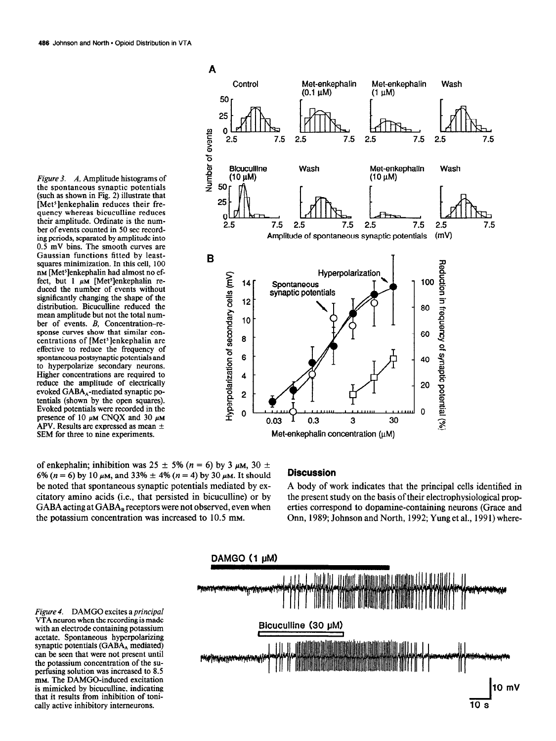Figure 3. A, Amplitude histograms of  $\overrightarrow{E}$  (10 µM)<br>the spontaneous synaptic potentials  $\overrightarrow{P}$  50 r  $\overrightarrow{m}$ the spontaneous synaptic potentials (such as shown in Fig. 2) illustrate that [Met<sup>5</sup>]enkephalin reduces their frequency whereas bicuculline reduces their amplitude. Ordinate is the number of events counted in 50 sec recording periods, separated by amplitude into 0.5 mV bins. The smooth curves are Gaussian functions fitted by least-<br>squares minimization. In this cell, 100 squares minimization. In this cell, 100<br>nm [Met<sup>5</sup>]enkephalin had almost no effect, but  $1 \mu M$  [Met<sup>s</sup>]enkephalin reduced the number of events without significantly changing the shape of the  $\frac{20}{8}$  12 distribution. Bicuculline reduced the<br>mean amplitude but not the total number of events.  $B$ , Concentration-re-  $\frac{1}{2}$  10 sponse curves show that similar concentrations of [Met<sup>5</sup>]enkephalin are effective to reduce the frequency of  $\overline{\mathcal{S}}$ spontaneous postsynaptic potentials and<br>to hyperpolarize secondary neurons. Higher concentrations are required to reduce the amplitude of electrically evoked GABA,-mediated synaptic potentials (shown by the open squares). Evoked potentials were recorded in the presence of 10  $\mu$ M CNQX and 30  $\mu$ M presence of TO  $\mu$ m CINQA and SO  $\mu$ m  $\Delta E$   $\bf{v}$ . Kesuns are expressed as mea

of enkephalin; inhibition was 25  $\pm$  5% (n = 6) by 3  $\mu$ M, 30  $\pm$ 6% (n = 6) by 10  $\mu$ m, and 33%  $\pm$  4% (n = 4) by 30  $\mu$ m. It should be noted that spontaneous synaptic potentials mediated by excitatory amino acids (i.e., that persisted in bicuculline) or by  $GADA = GADA$  $\frac{1}{2}$ 



## **Discussion**

A body of work indicates that the principal cells identified in the present study on the basis of their electrophysiological properties correspond to dopamine-containing neurons (Grace and Onn, 1989; Johnson and North, 1992; Yung et al., 199 1) where-

*Figure 4.* DAMGO excites a *principal* VTA neuron when the recording is made with an electrode containing potassium acetate. Spontaneous hyperpolarizing synaptic potentials (GABA $_A$  mediated) can be seen that were not present until the potassium concentration of the superfusing solution was increased to 8.5 mm. The DAMGO-induced excitation is mimicked by bicuculline, indicating that it results from inhibition of tonically active inhibitory interneurons.

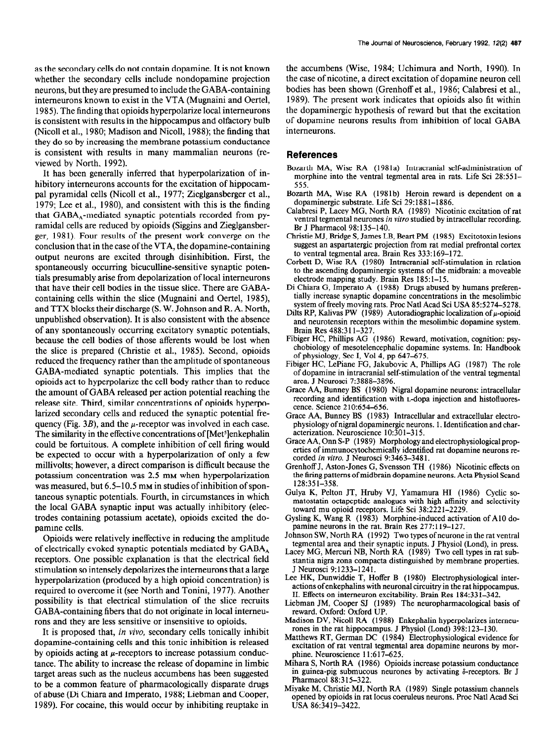as the secondary cells do not contain dopamine. It is not known whether the secondary cells include nondopamine projection neurons, but they are presumed to include the GABA-containing intemeurons known to exist in the VTA (Mugnaini and Oertel, 1985). The finding that opioids hyperpolarize local intemeurons is consistent with results in the hippocampus and olfactory bulb (Nicoll et al., 1980; Madison and Nicoll, 1988); the finding that they do so by increasing the membrane potassium conductance is consistent with results in many mammalian neurons (reviewed by North, 1992).

It has been generally inferred that hyperpolarization of inhibitory intemeurons accounts for the excitation of hippocampal pyramidal cells (Nicoll et al., 1977; Zieglgansberger et al., 1979; Lee et al., 1980), and consistent with this is the finding that GABA,-mediated synaptic potentials recorded from pyramidal cells are reduced by opioids (Siggins and Zieglgansberger, 1981). Four results of the present work converge on the conclusion that in the case of the VTA, the dopamine-containing output neurons are excited through disinhibition. First, the spontaneously occurring bicuculline-sensitive synaptic potentials presumably arise from depolarization of local intemeurons that have their cell bodies in the tissue slice. There are GABAcontaining cells within the slice (Mugnaini and Oertel, 1985) and TTX blocks their discharge (S. W. Johnson and R. A. North, unpublished observation). It is also consistent with the absence of any spontaneously occurring excitatory synaptic potentials, because the cell bodies of those afferents would be lost when the slice is prepared (Christie et al., 1985). Second, opioids reduced the frequency rather than the amplitude of spontaneous GABA-mediated synaptic potentials. This implies that the opioids act to hyperpolarize the cell body rather than to reduce the amount of GABA released per action potential reaching the release site. Third, similar concentrations of opioids hyperpolarized secondary cells and reduced the synaptic potential frequency (Fig. 3B), and the  $\mu$ -receptor was involved in each case. The similarity in the effective concentrations of [Met<sup>5</sup>]enkephalin could be fortuitous. A complete inhibition of cell firing would be expected to occur with a hyperpolarization of only a few millivolts; however, a direct comparison is difficult because the  $p_{\text{min}}$  and  $p_{\text{max}}$  and  $p_{\text{min}}$  when hyperpolarization is difficult because in potassium concentration was 2.5 mm when hyperpolarization was measured, but 6.5–10.5 mm in studies of inhibition of spontaneous synaptic potentials. Fourth, in circumstances in which the local GABA synaptic potentials. To detail, in chequinotation in which the local OADA synaphic liftur was actually immotiony (circ trodes containing potassium acetate), opioids excited the do-<br>pamine cells.  $\sigma$  in the reducing ineffective integration in reducing the amplitude in reducing the amplitude in reducing the amplitude in  $\sigma$ 

 $\alpha$  electrically evoked synaptic potential synaptic potential  $\alpha$ of electrically evoked synaptic potentials mediated by  $GABA_A$ receptors. One possible explanation is that the electrical field stimulation so intensely depolarizes the interneurons that a large hyperpolarization (produced by a high opioid concentration) is required to overcome it (see North and Tonini, 1977). Another possibility is that electrical stimulation of the slice recruits GABA-containing fibers that do not originate in local interneurons and they are less sensitive or insensitive to opioids.

It is proposed that, in vivo, secondary cells tonically inhibit dopamine-containing cells and this tonic inhibition is released by opioids acting at  $\mu$ -receptors to increase potassium conductance. The ability to increase the release of dopamine in limbic target areas such as the nucleus accumbens has been suggested to be a common feature of pharmacologically disparate drugs of abuse (Di Chiara and Imperato, 1988; Liebman and Cooper, 1989). For cocaine, this would occur by inhibiting reuptake in

the accumbens (Wise, 1984; Uchimura and North, 1990). In the case of nicotine, a direct excitation of dopamine neuron cell bodies has been shown (Grenhoff et al., 1986; Calabresi et al., 1989). The present work indicates that opioids also fit within the dopaminergic hypothesis of reward but that the excitation of dopamine neurons results from inhibition of local GABA intemeurons.

## References

- Bozarth MA, Wise RA (1981a) Intracranial self-administration of morphine into the ventral tegmental area in rats. Life Sci 28:551- 555.
- Bozarth MA, Wise RA (1981b) Heroin reward is dependent on a dopaminergic substrate. Life Sci 29:1881-1886.
- Calabresi P, Lacey MG, North RA (1989) Nicotinic excitation of rat ventral tegmental neurones in vitro studied by intracellular recording. Br J Pharmacol 98:135-140.
- Christie MJ, Bridge S, James LB, Beart PM (1985) Excitotoxin lesions suggest an aspartatergic projection from rat medial prefrontal cortex to ventral tegmental area. Brain Res 333:169-172.
- Corbett D, Wise RA (1980) Intracranial self-stimulation in relation to the ascending dopaminergic systems of the midbrain: a moveable electrode mapping study. Brain Res 185:1-15.
- Di Chiara G, Imperato A (1988) Drugs abused by humans preferentially increase synaptic dopamine concentrations in the mesolimbic system of freely moving rats. Proc Nat1 Acad Sci USA 85:5274-5278.
- Dilts RP, Kalivas PW (1989) Autoradiographic localization of  $\mu$ -opioid and neurotensin receptors within the mesolimbic dopamine system. Brain Res 488:31 l-327.
- Fibiger HC, Phillips AG (1986) Reward, motivation, cognition: psychobiology of mesotelencephalic dopamine systems. In: Handbook of physiology, Set I, Vol 4, pp 647-675.  $F_{\text{in}}$  He are HC, Lepison FG,  $F_{\text{in}}$  and  $F_{\text{in}}$  and  $F_{\text{in}}$  and  $F_{\text{in}}$  and  $F_{\text{in}}$  and  $F_{\text{in}}$  and  $F_{\text{in}}$  and  $F_{\text{in}}$  and  $F_{\text{in}}$  and  $F_{\text{in}}$  and  $F_{\text{in}}$  and  $F_{\text{in}}$  and  $F_{\text{in}}$  and  $F_{\text{$
- of domaine in intercantial self-stimulation of the ventral tegemental tegemental tegemental tegemental tegemental tegemental tegemental tegemental tegemental tegemental tegemental tegemental tegemental tegemental tegement of dopamine in intracranial self-stimulation of the ventral tegmental area. J Neurosci 7:3888–3896.
- Grace AA, Bunney BS (1980) Nigral dopamine neurons: intracellular recording and injection with L-dopa injection and historical intervention and historical intervention and historical intervention and historical intervention and historical intervention and historical intervention and hist  $\frac{1}{2}$ cente 210:654-656. Grace Sulting  $210.09 + 0.00$ .
- race  $AA$ , butties by  $(1983)$  minaceliular and extracellular electrons. physiology of nigral dopaminergic neurons. 1. Identification and characterization. Neuroscience 10:301–315.  $G = A + 2P$  (1989) Morphology and electrophysical prop-
- race  $AA$ , Olin S-P (1989) Morphology and electrophysiological properties of immunocytochemically identified rat dopamine neurons recorded in vitro. J Neurosci 9:3463-3481. Corded *in viro*. J ineurosci 9.3403–3481.
- tennon J, Asion-Jones G, Svensson  $\overline{H}$  (1980) Nicounic enects on the firing patterns of midbrain dopamine neurons. Acta Physiol Scand 128:351-358.  $\frac{128.331-338.}{2}$
- $m<sub>g</sub>$  matrices and selection  $n<sub>g</sub>$ ,  $n<sub>g</sub>$  and  $n<sub>g</sub>$  and  $n<sub>g</sub>$  and  $n<sub>g</sub>$  and  $n<sub>g</sub>$  and  $n<sub>g</sub>$  are  $n<sub>g</sub>$  and  $n<sub>g</sub>$  and  $n<sub>g</sub>$  and  $n<sub>g</sub>$  and  $n<sub>g</sub>$  and  $n<sub>g</sub>$ matostatin octapeptide analogues with high affinity and selectivity toward mu opioid receptors. Life Sci 38:2221-2229.
- Gysling K, Wang R (1983) Morphine-induced activation of A10 dopamine neurons in the rat. Brain Res 277:119-127.
- Johnson SW, North RA (1992) Two types of neurone in the rat ventral legmental area and their synaptic inputs. J Physiol (Lond), in press.
- icey MG, Mercuri NB, North RA (1989) Two cell types in rat substantia nigra zona compacta distinguished by membrane properties. J Neurosci 9:1233-1241.
- Lee HK, Dunwiddie T, Hoffer B (1980) Electrophysiological interactions of enkephalins with neuronal circuitry in the rat hippocampus. II. Effects on interneuron excitability. Brain Res 184:331-342.
- Liebman JM, Cooper SJ (1989) The neuropharmacological basis of reward. Oxford: Oxford UP.
- Madison DV, Nicoll RA (1988) Enkephalin hyperpolarizes interneurones in the rat hippocampus. J Physiol (Lond) 398:123-130.
- Matthews RT, German DC (1984) Electrophysiological evidence for excitation of rat ventral tegmental area dopamine neurons by morphine. Neuroscience 11:617-625.
- Mihara S, North RA (1986) Opioids increase potassium conductance in guinea-pig submucous neurones by activating  $\delta$ -receptors. Br J Pharmacol 88:315-322.
- Miyake M, Christie MJ, North RA (1989) Single potassium channels. opened by opioids in rat locus coeruleus neurons. Proc Natl Acad Sci USA 86:3419-3422.